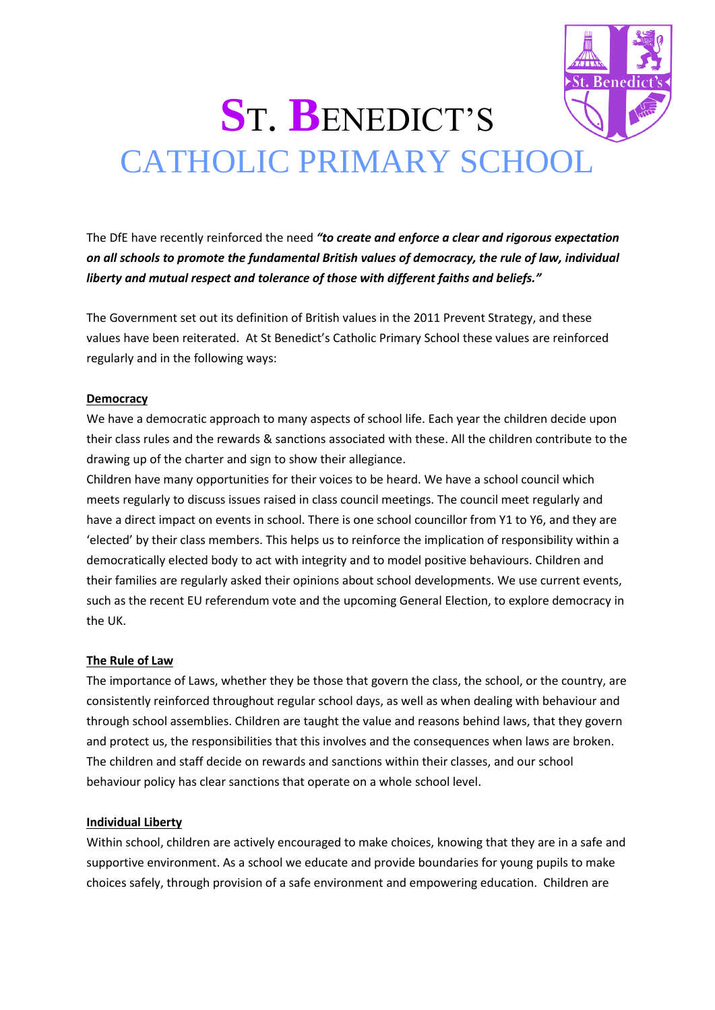# **S**T. **B**ENEDICT'S CATHOLIC PRIMARY SCHOOL

The DfE have recently reinforced the need *"to create and enforce a clear and rigorous expectation on all schools to promote the fundamental British values of democracy, the rule of law, individual liberty and mutual respect and tolerance of those with different faiths and beliefs."*

The Government set out its definition of British values in the 2011 Prevent Strategy, and these values have been reiterated. At St Benedict's Catholic Primary School these values are reinforced regularly and in the following ways:

## **Democracy**

We have a democratic approach to many aspects of school life. Each year the children decide upon their class rules and the rewards & sanctions associated with these. All the children contribute to the drawing up of the charter and sign to show their allegiance.

Children have many opportunities for their voices to be heard. We have a school council which meets regularly to discuss issues raised in class council meetings. The council meet regularly and have a direct impact on events in school. There is one school councillor from Y1 to Y6, and they are 'elected' by their class members. This helps us to reinforce the implication of responsibility within a democratically elected body to act with integrity and to model positive behaviours. Children and their families are regularly asked their opinions about school developments. We use current events, such as the recent EU referendum vote and the upcoming General Election, to explore democracy in the UK.

## **The Rule of Law**

The importance of Laws, whether they be those that govern the class, the school, or the country, are consistently reinforced throughout regular school days, as well as when dealing with behaviour and through school assemblies. Children are taught the value and reasons behind laws, that they govern and protect us, the responsibilities that this involves and the consequences when laws are broken. The children and staff decide on rewards and sanctions within their classes, and our school behaviour policy has clear sanctions that operate on a whole school level.

## **Individual Liberty**

Within school, children are actively encouraged to make choices, knowing that they are in a safe and supportive environment. As a school we educate and provide boundaries for young pupils to make choices safely, through provision of a safe environment and empowering education. Children are